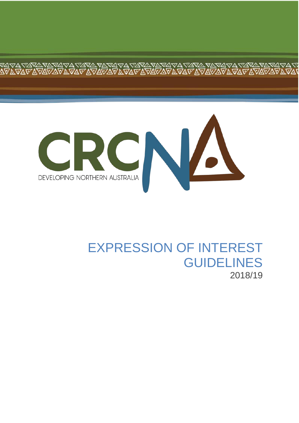

**ANA**<br>AVA G

# EXPRESSION OF INTEREST GUIDELINES 2018/19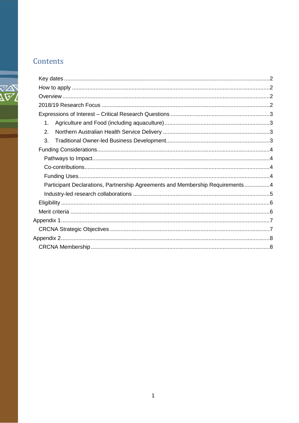# Contents

فريرس

| Participant Declarations, Partnership Agreements and Membership Requirements4 |
|-------------------------------------------------------------------------------|
|                                                                               |
|                                                                               |
|                                                                               |
|                                                                               |
|                                                                               |
|                                                                               |
|                                                                               |
|                                                                               |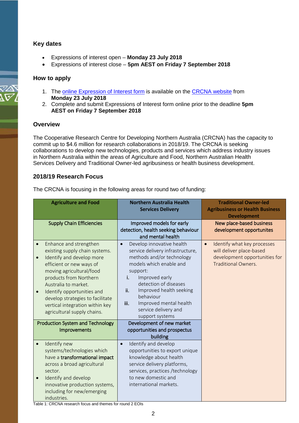### <span id="page-2-0"></span>**Key dates**

- Expressions of interest open **Monday 23 July 2018**
- Expressions of interest close **5pm AEST on Friday 7 September 2018**

### <span id="page-2-1"></span>**How to apply**

- 1. The [online Expression of Interest form](http://www.crcna.com.au/research/expressions-of-interest/2018-19-funding-call/eoi-form/) is available on the [CRCNA website](http://www.crcna.com.au/) from **Monday 23 July 2018**
- 2. Complete and submit Expressions of Interest form online prior to the deadline **5pm AEST on Friday 7 September 2018**

#### <span id="page-2-2"></span>**Overview**

The Cooperative Research Centre for Developing Northern Australia (CRCNA) has the capacity to commit up to \$4.6 million for research collaborations in 2018/19. The CRCNA is seeking collaborations to develop new technologies, products and services which address industry issues in Northern Australia within the areas of Agriculture and Food, Northern Australian Health Services Delivery and Traditional Owner-led agribusiness or health business development.

# <span id="page-2-3"></span>**2018/19 Research Focus**

The CRCNA is focusing in the following areas for round two of funding:

| <b>Agriculture and Food</b>                                                                                                                                                                                                                                                                                                                                                | <b>Northern Australia Health</b><br><b>Services Delivery</b>                                                                                                                                                                                                                                                                | <b>Traditional Owner-led</b><br><b>Agribusiness or Health Business</b><br><b>Development</b>                                        |
|----------------------------------------------------------------------------------------------------------------------------------------------------------------------------------------------------------------------------------------------------------------------------------------------------------------------------------------------------------------------------|-----------------------------------------------------------------------------------------------------------------------------------------------------------------------------------------------------------------------------------------------------------------------------------------------------------------------------|-------------------------------------------------------------------------------------------------------------------------------------|
| <b>Supply Chain Efficiencies</b>                                                                                                                                                                                                                                                                                                                                           | Improved models for early<br>detection, health seeking behaviour<br>and mental health                                                                                                                                                                                                                                       | New place-based business<br>development opportunites                                                                                |
| Enhance and strengthen<br>$\bullet$<br>existing supply chain systems.<br>Identify and develop more<br>$\bullet$<br>efficient or new ways of<br>moving agricultural/food<br>products from Northern<br>Australia to market.<br>Identify opportunities and<br>$\bullet$<br>develop strategies to facilitate<br>vertical integration within key<br>agricultural supply chains. | Develop innovative health<br>$\bullet$<br>service delivery infrastructure,<br>methods and/or technology<br>models which enable and<br>support:<br>Improved early<br>i.<br>detection of diseases<br>Improved health seeking<br>ii.<br>behaviour<br>Improved mental health<br>iii.<br>service delivery and<br>support systems | Identify what key processes<br>$\bullet$<br>will deliver place-based<br>development opportunities for<br><b>Traditional Owners.</b> |
| <b>Production System and Technology</b><br>Improvements                                                                                                                                                                                                                                                                                                                    | Development of new market<br>opportunities and prospectus<br>building                                                                                                                                                                                                                                                       |                                                                                                                                     |
| Identify new<br>$\bullet$<br>systems/technologies which<br>have a transformational impact<br>across a broad agricultural<br>sector.<br>Identify and develop<br>$\bullet$<br>innovative production systems,<br>including for new/emerging<br>industries.                                                                                                                    | Identify and develop<br>$\bullet$<br>opportunities to export unique<br>knowledge about health<br>service delivery platforms,<br>services, practices /technology<br>to new domestic and<br>international markets.                                                                                                            |                                                                                                                                     |

Table 1: CRCNA research focus and themes for round 2 EOIs

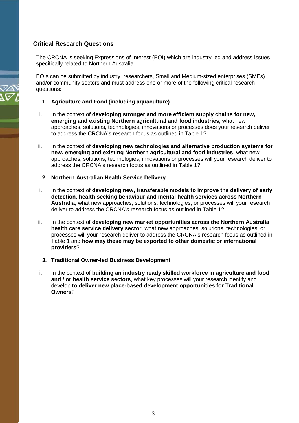# <span id="page-3-0"></span>**Critical Research Questions**

The CRCNA is seeking Expressions of Interest (EOI) which are industry-led and address issues specifically related to Northern Australia.

EOIs can be submitted by industry, researchers, Small and Medium-sized enterprises (SMEs) and/or community sectors and must address one or more of the following critical research questions:

- <span id="page-3-1"></span>**1. Agriculture and Food (including aquaculture)**
- i. In the context of **developing stronger and more efficient supply chains for new, emerging and existing Northern agricultural and food industries,** what new approaches, solutions, technologies, innovations or processes does your research deliver to address the CRCNA's research focus as outlined in Table 1?
- ii. In the context of **developing new technologies and alternative production systems for new, emerging and existing Northern agricultural and food industries**, what new approaches, solutions, technologies, innovations or processes will your research deliver to address the CRCNA's research focus as outlined in Table 1?

#### <span id="page-3-2"></span>**2. Northern Australian Health Service Delivery**

- i. In the context of **developing new, transferable models to improve the delivery of early detection, health seeking behaviour and mental health services across Northern Australia**, what new approaches, solutions, technologies, or processes will your research deliver to address the CRCNA's research focus as outlined in Table 1?
- ii. In the context of **developing new market opportunities across the Northern Australia health care service delivery sector**, what new approaches, solutions, technologies, or processes will your research deliver to address the CRCNA's research focus as outlined in Table 1 and **how may these may be exported to other domestic or international providers**?
	- **3. Traditional Owner-led Business Development**
- <span id="page-3-3"></span>i. In the context of **building an industry ready skilled workforce in agriculture and food and / or health service sectors**, what key processes will your research identify and develop **to deliver new place-based development opportunities for Traditional Owners**?

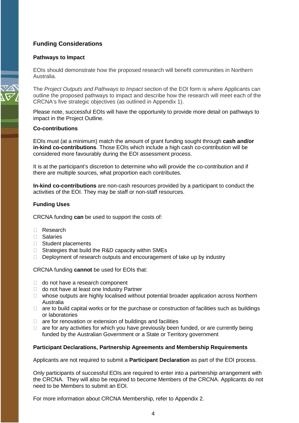# <span id="page-4-0"></span>**Funding Considerations**

#### <span id="page-4-1"></span>**Pathways to Impact**

EOIs should demonstrate how the proposed research will benefit communities in Northern Australia.

The *Project Outputs and Pathways to Impact* section of the EOI form is where Applicants can outline the proposed pathways to impact and describe how the research will meet each of the CRCNA's five strategic objectives (as outlined in Appendix 1).

Please note, successful EOIs will have the opportunity to provide more detail on pathways to impact in the Project Outline.

#### <span id="page-4-2"></span>**Co-contributions**

EOIs must (at a minimum) match the amount of grant funding sought through **cash and/or in-kind co-contributions**. Those EOIs which include a high cash co-contribution will be considered more favourably during the EOI assessment process.

It is at the participant's discretion to determine who will provide the co-contribution and if there are multiple sources, what proportion each contributes.

**In-kind co-contributions** are non-cash resources provided by a participant to conduct the activities of the EOI. They may be staff or non-staff resources.

#### <span id="page-4-3"></span>**Funding Uses**

CRCNA funding **can** be used to support the costs of:

- Research
- Salaries
- $\Box$  Student placements
- $\Box$  Strategies that build the R&D capacity within SMEs
- $\Box$  Deployment of research outputs and encouragement of take up by industry

CRCNA funding **cannot** be used for EOIs that:

- □ do not have a research component
- $\Box$  do not have at least one Industry Partner
- $\Box$  whose outputs are highly localised without potential broader application across Northern Australia
- $\Box$  are to build capital works or for the purchase or construction of facilities such as buildings or laboratories
- $\Box$  are for renovation or extension of buildings and facilities
- $\Box$  are for any activities for which you have previously been funded, or are currently being funded by the Australian Government or a State or Territory government

#### <span id="page-4-4"></span>**Participant Declarations, Partnership Agreements and Membership Requirements**

Applicants are not required to submit a **Participant Declaration** as part of the EOI process.

Only participants of successful EOIs are required to enter into a partnership arrangement with the CRCNA. They will also be required to become Members of the CRCNA. Applicants do not need to be Members to submit an EOI.

For more information about CRCNA Membership, refer to Appendix 2.

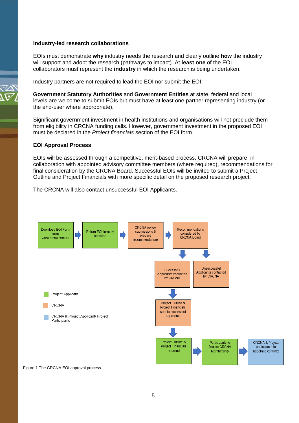#### <span id="page-5-0"></span>**Industry-led research collaborations**

EOIs must demonstrate **why** industry needs the research and clearly outline **how** the industry will support and adopt the research (pathways to impact). At **least one** of the EOI collaborators must represent the **industry** in which the research is being undertaken.

Industry partners are not required to lead the EOI nor submit the EOI.

**Government Statutory Authorities** and **Government Entities** at state, federal and local levels are welcome to submit EOIs but must have at least one partner representing industry (or the end-user where appropriate).

Significant government investment in health institutions and organisations will not preclude them from eligibility in CRCNA funding calls. However, government investment in the proposed EOI must be declared in the *Project financials* section of the EOI form.

#### **EOI Approval Process**

EOIs will be assessed through a competitive, merit-based process. CRCNA will prepare, in collaboration with appointed advisory committee members (where required), recommendations for final consideration by the CRCNA Board. Successful EOIs will be invited to submit a Project Outline and Project Financials with more specific detail on the proposed research project.

The CRCNA will also contact unsuccessful EOI Applicants.



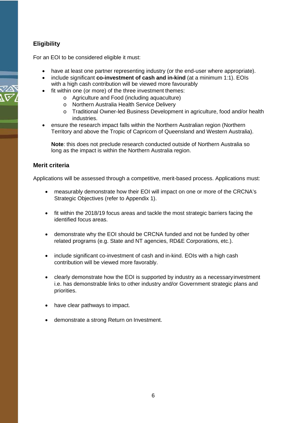# <span id="page-6-0"></span>**Eligibility**

For an EOI to be considered eligible it must:

- have at least one partner representing industry (or the end-user where appropriate).
- include significant **co-investment of cash and in-kind** (at a minimum 1:1). EOIs with a high cash contribution will be viewed more favourably
- fit within one (or more) of the three investment themes:
	- o Agriculture and Food (including aquaculture)
	- o Northern Australia Health Service Delivery
	- o Traditional Owner-led Business Development in agriculture, food and/or health industries.
- ensure the research impact falls within the Northern Australian region (Northern Territory and above the Tropic of Capricorn of Queensland and Western Australia).

**Note**: this does not preclude research conducted outside of Northern Australia so long as the impact is within the Northern Australia region.

# <span id="page-6-1"></span>**Merit criteria**

Applications will be assessed through a competitive, merit-based process. Applications must:

- measurably demonstrate how their EOI will impact on one or more of the CRCNA's Strategic Objectives (refer to Appendix 1).
- fit within the 2018/19 focus areas and tackle the most strategic barriers facing the identified focus areas.
- demonstrate why the EOI should be CRCNA funded and not be funded by other related programs (e.g. State and NT agencies, RD&E Corporations, etc.).
- include significant co-investment of cash and in-kind. EOIs with a high cash contribution will be viewed more favorably.
- clearly demonstrate how the EOI is supported by industry as a necessary investment i.e. has demonstrable links to other industry and/or Government strategic plans and priorities.
- have clear pathways to impact.
- demonstrate a strong Return on Investment.

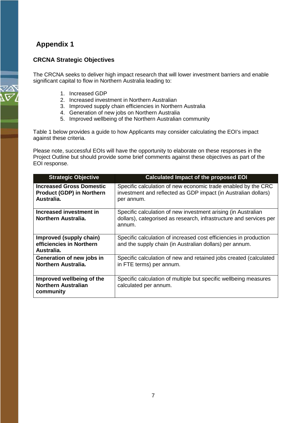# <span id="page-7-0"></span>**Appendix 1**

# <span id="page-7-1"></span>**CRCNA Strategic Objectives**

The CRCNA seeks to deliver high impact research that will lower investment barriers and enable significant capital to flow in Northern Australia leading to:

- 1. Increased GDP
- 2. Increased investment in Northern Australian
- 3. Improved supply chain efficiencies in Northern Australia
- 4. Generation of new jobs on Northern Australia
- 5. Improved wellbeing of the Northern Australian community

Table 1 below provides a guide to how Applicants may consider calculating the EOI's impact against these criteria.

Please note, successful EOIs will have the opportunity to elaborate on these responses in the Project Outline but should provide some brief comments against these objectives as part of the EOI response.

| <b>Strategic Objective</b>                                                        | <b>Calculated Impact of the proposed EOI</b>                                                                                                  |
|-----------------------------------------------------------------------------------|-----------------------------------------------------------------------------------------------------------------------------------------------|
| <b>Increased Gross Domestic</b><br><b>Product (GDP) in Northern</b><br>Australia. | Specific calculation of new economic trade enabled by the CRC<br>investment and reflected as GDP impact (in Australian dollars)<br>per annum. |
| Increased investment in<br>Northern Australia.                                    | Specific calculation of new investment arising (in Australian<br>dollars), categorised as research, infrastructure and services per<br>annum. |
| Improved (supply chain)<br>efficiencies in Northern<br>Australia.                 | Specific calculation of increased cost efficiencies in production<br>and the supply chain (in Australian dollars) per annum.                  |
| Generation of new jobs in<br>Northern Australia.                                  | Specific calculation of new and retained jobs created (calculated<br>in FTE terms) per annum.                                                 |
| Improved wellbeing of the<br><b>Northern Australian</b><br>community              | Specific calculation of multiple but specific wellbeing measures<br>calculated per annum.                                                     |